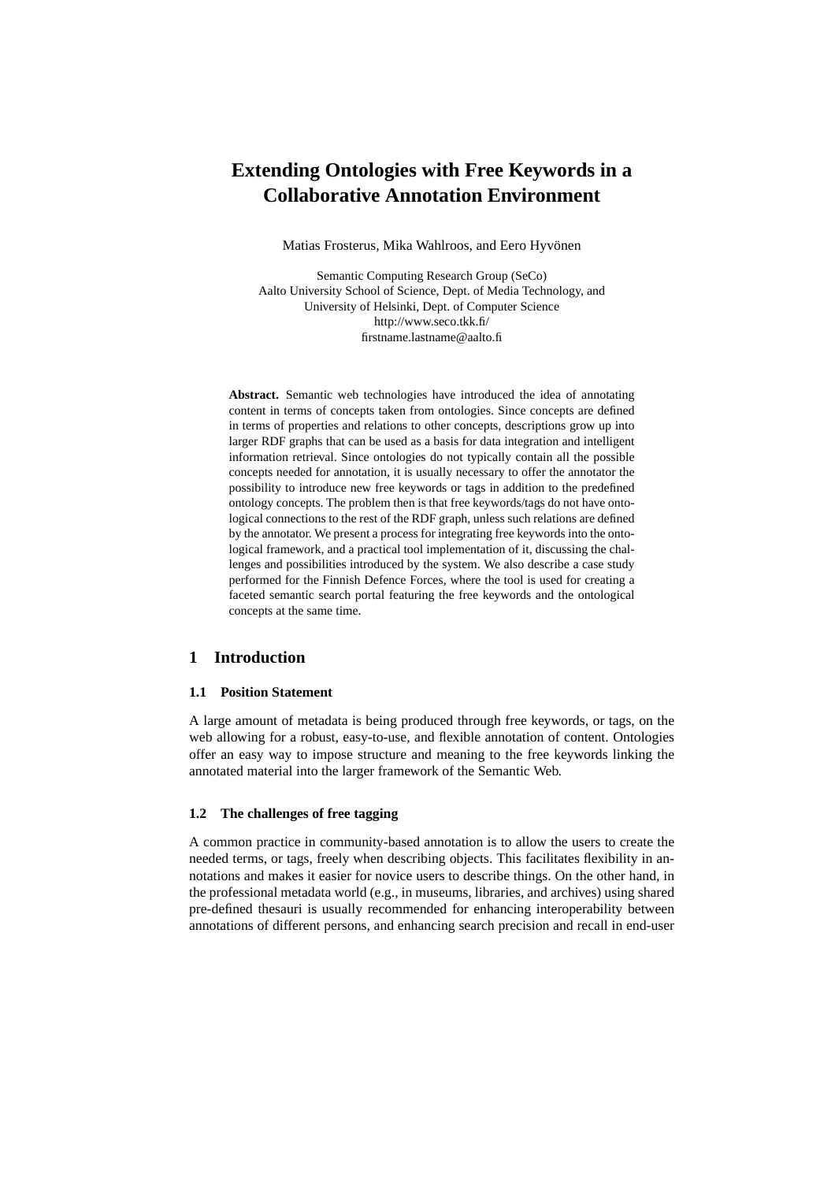# **Extending Ontologies with Free Keywords in a Collaborative Annotation Environment**

Matias Frosterus, Mika Wahlroos, and Eero Hyvönen

Semantic Computing Research Group (SeCo) Aalto University School of Science, Dept. of Media Technology, and University of Helsinki, Dept. of Computer Science http://www.seco.tkk.fi/ firstname.lastname@aalto.fi

**Abstract.** Semantic web technologies have introduced the idea of annotating content in terms of concepts taken from ontologies. Since concepts are defined in terms of properties and relations to other concepts, descriptions grow up into larger RDF graphs that can be used as a basis for data integration and intelligent information retrieval. Since ontologies do not typically contain all the possible concepts needed for annotation, it is usually necessary to offer the annotator the possibility to introduce new free keywords or tags in addition to the predefined ontology concepts. The problem then is that free keywords/tags do not have ontological connections to the rest of the RDF graph, unless such relations are defined by the annotator. We present a process for integrating free keywords into the ontological framework, and a practical tool implementation of it, discussing the challenges and possibilities introduced by the system. We also describe a case study performed for the Finnish Defence Forces, where the tool is used for creating a faceted semantic search portal featuring the free keywords and the ontological concepts at the same time.

# **1 Introduction**

#### **1.1 Position Statement**

A large amount of metadata is being produced through free keywords, or tags, on the web allowing for a robust, easy-to-use, and flexible annotation of content. Ontologies offer an easy way to impose structure and meaning to the free keywords linking the annotated material into the larger framework of the Semantic Web.

#### **1.2 The challenges of free tagging**

A common practice in community-based annotation is to allow the users to create the needed terms, or tags, freely when describing objects. This facilitates flexibility in annotations and makes it easier for novice users to describe things. On the other hand, in the professional metadata world (e.g., in museums, libraries, and archives) using shared pre-defined thesauri is usually recommended for enhancing interoperability between annotations of different persons, and enhancing search precision and recall in end-user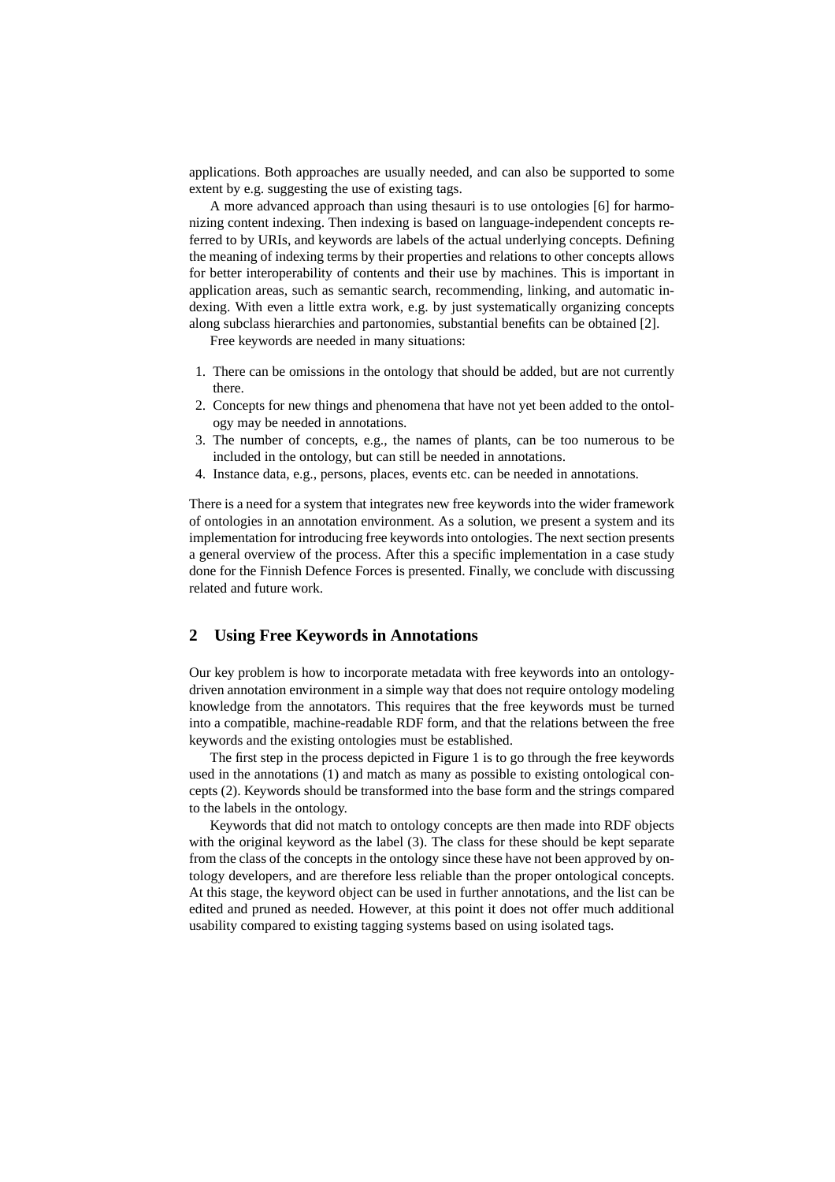applications. Both approaches are usually needed, and can also be supported to some extent by e.g. suggesting the use of existing tags.

A more advanced approach than using thesauri is to use ontologies [6] for harmonizing content indexing. Then indexing is based on language-independent concepts referred to by URIs, and keywords are labels of the actual underlying concepts. Defining the meaning of indexing terms by their properties and relations to other concepts allows for better interoperability of contents and their use by machines. This is important in application areas, such as semantic search, recommending, linking, and automatic indexing. With even a little extra work, e.g. by just systematically organizing concepts along subclass hierarchies and partonomies, substantial benefits can be obtained [2].

Free keywords are needed in many situations:

- 1. There can be omissions in the ontology that should be added, but are not currently there.
- 2. Concepts for new things and phenomena that have not yet been added to the ontology may be needed in annotations.
- 3. The number of concepts, e.g., the names of plants, can be too numerous to be included in the ontology, but can still be needed in annotations.
- 4. Instance data, e.g., persons, places, events etc. can be needed in annotations.

There is a need for a system that integrates new free keywords into the wider framework of ontologies in an annotation environment. As a solution, we present a system and its implementation for introducing free keywords into ontologies. The next section presents a general overview of the process. After this a specific implementation in a case study done for the Finnish Defence Forces is presented. Finally, we conclude with discussing related and future work.

## **2 Using Free Keywords in Annotations**

Our key problem is how to incorporate metadata with free keywords into an ontologydriven annotation environment in a simple way that does not require ontology modeling knowledge from the annotators. This requires that the free keywords must be turned into a compatible, machine-readable RDF form, and that the relations between the free keywords and the existing ontologies must be established.

The first step in the process depicted in Figure 1 is to go through the free keywords used in the annotations (1) and match as many as possible to existing ontological concepts (2). Keywords should be transformed into the base form and the strings compared to the labels in the ontology.

Keywords that did not match to ontology concepts are then made into RDF objects with the original keyword as the label (3). The class for these should be kept separate from the class of the concepts in the ontology since these have not been approved by ontology developers, and are therefore less reliable than the proper ontological concepts. At this stage, the keyword object can be used in further annotations, and the list can be edited and pruned as needed. However, at this point it does not offer much additional usability compared to existing tagging systems based on using isolated tags.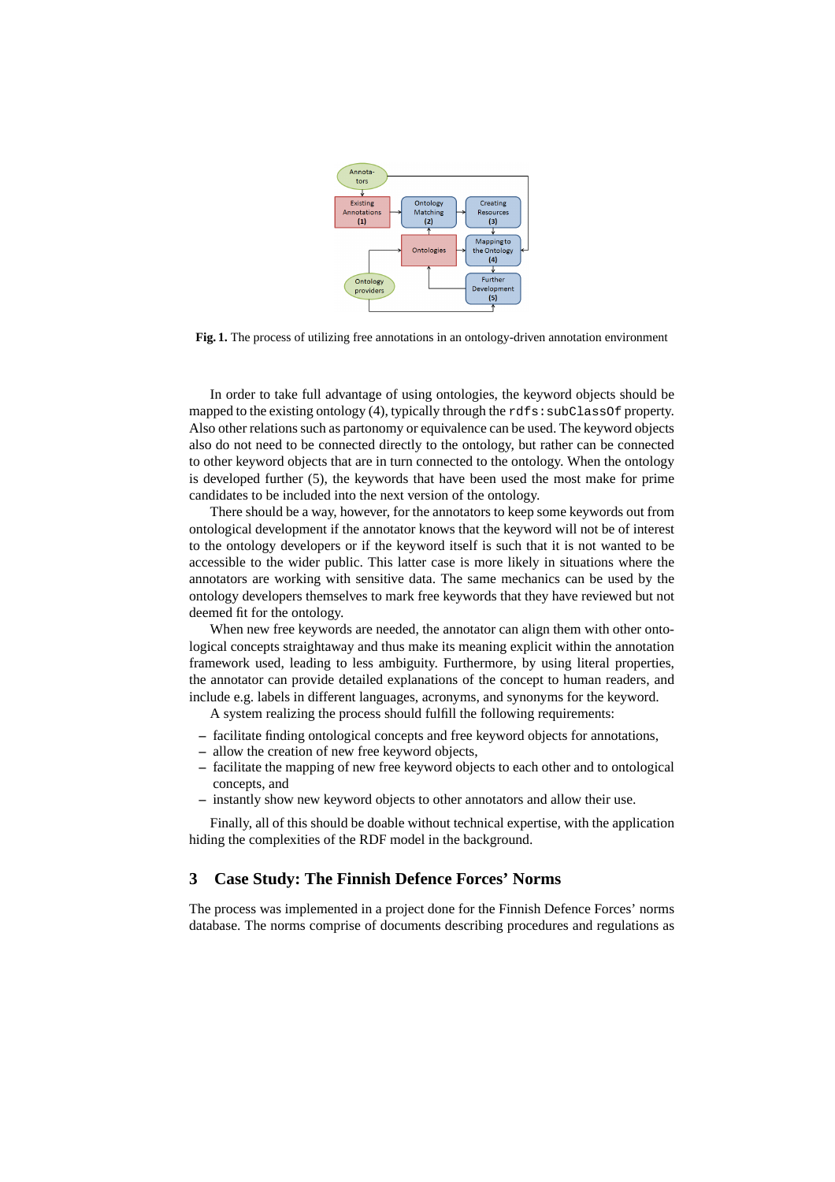

**Fig. 1.** The process of utilizing free annotations in an ontology-driven annotation environment

In order to take full advantage of using ontologies, the keyword objects should be mapped to the existing ontology (4), typically through the  $rdfs:subClassOf$  property. Also other relations such as partonomy or equivalence can be used. The keyword objects also do not need to be connected directly to the ontology, but rather can be connected to other keyword objects that are in turn connected to the ontology. When the ontology is developed further (5), the keywords that have been used the most make for prime candidates to be included into the next version of the ontology.

There should be a way, however, for the annotators to keep some keywords out from ontological development if the annotator knows that the keyword will not be of interest to the ontology developers or if the keyword itself is such that it is not wanted to be accessible to the wider public. This latter case is more likely in situations where the annotators are working with sensitive data. The same mechanics can be used by the ontology developers themselves to mark free keywords that they have reviewed but not deemed fit for the ontology.

When new free keywords are needed, the annotator can align them with other ontological concepts straightaway and thus make its meaning explicit within the annotation framework used, leading to less ambiguity. Furthermore, by using literal properties, the annotator can provide detailed explanations of the concept to human readers, and include e.g. labels in different languages, acronyms, and synonyms for the keyword.

A system realizing the process should fulfill the following requirements:

- **–** facilitate finding ontological concepts and free keyword objects for annotations,
- **–** allow the creation of new free keyword objects,
- **–** facilitate the mapping of new free keyword objects to each other and to ontological concepts, and
- **–** instantly show new keyword objects to other annotators and allow their use.

Finally, all of this should be doable without technical expertise, with the application hiding the complexities of the RDF model in the background.

#### **3 Case Study: The Finnish Defence Forces' Norms**

The process was implemented in a project done for the Finnish Defence Forces' norms database. The norms comprise of documents describing procedures and regulations as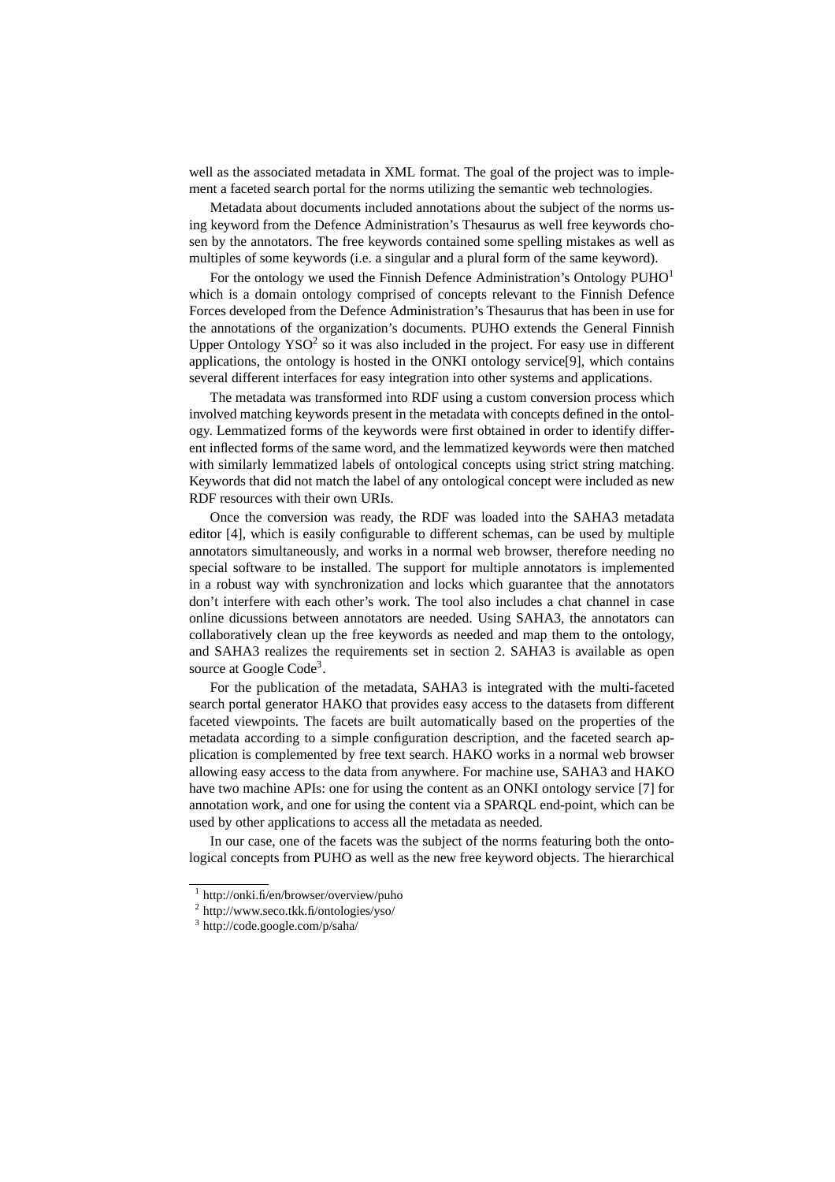well as the associated metadata in XML format. The goal of the project was to implement a faceted search portal for the norms utilizing the semantic web technologies.

Metadata about documents included annotations about the subject of the norms using keyword from the Defence Administration's Thesaurus as well free keywords chosen by the annotators. The free keywords contained some spelling mistakes as well as multiples of some keywords (i.e. a singular and a plural form of the same keyword).

For the ontology we used the Finnish Defence Administration's Ontology PUHO<sup>1</sup> which is a domain ontology comprised of concepts relevant to the Finnish Defence Forces developed from the Defence Administration's Thesaurus that has been in use for the annotations of the organization's documents. PUHO extends the General Finnish Upper Ontology  $YSO<sup>2</sup>$  so it was also included in the project. For easy use in different applications, the ontology is hosted in the ONKI ontology service[9], which contains several different interfaces for easy integration into other systems and applications.

The metadata was transformed into RDF using a custom conversion process which involved matching keywords present in the metadata with concepts defined in the ontology. Lemmatized forms of the keywords were first obtained in order to identify different inflected forms of the same word, and the lemmatized keywords were then matched with similarly lemmatized labels of ontological concepts using strict string matching. Keywords that did not match the label of any ontological concept were included as new RDF resources with their own URIs.

Once the conversion was ready, the RDF was loaded into the SAHA3 metadata editor [4], which is easily configurable to different schemas, can be used by multiple annotators simultaneously, and works in a normal web browser, therefore needing no special software to be installed. The support for multiple annotators is implemented in a robust way with synchronization and locks which guarantee that the annotators don't interfere with each other's work. The tool also includes a chat channel in case online dicussions between annotators are needed. Using SAHA3, the annotators can collaboratively clean up the free keywords as needed and map them to the ontology, and SAHA3 realizes the requirements set in section 2. SAHA3 is available as open source at Google Code<sup>3</sup>.

For the publication of the metadata, SAHA3 is integrated with the multi-faceted search portal generator HAKO that provides easy access to the datasets from different faceted viewpoints. The facets are built automatically based on the properties of the metadata according to a simple configuration description, and the faceted search application is complemented by free text search. HAKO works in a normal web browser allowing easy access to the data from anywhere. For machine use, SAHA3 and HAKO have two machine APIs: one for using the content as an ONKI ontology service [7] for annotation work, and one for using the content via a SPARQL end-point, which can be used by other applications to access all the metadata as needed.

In our case, one of the facets was the subject of the norms featuring both the ontological concepts from PUHO as well as the new free keyword objects. The hierarchical

<sup>1</sup> http://onki.fi/en/browser/overview/puho

<sup>&</sup>lt;sup>2</sup> http://www.seco.tkk.fi/ontologies/yso/

<sup>3</sup> http://code.google.com/p/saha/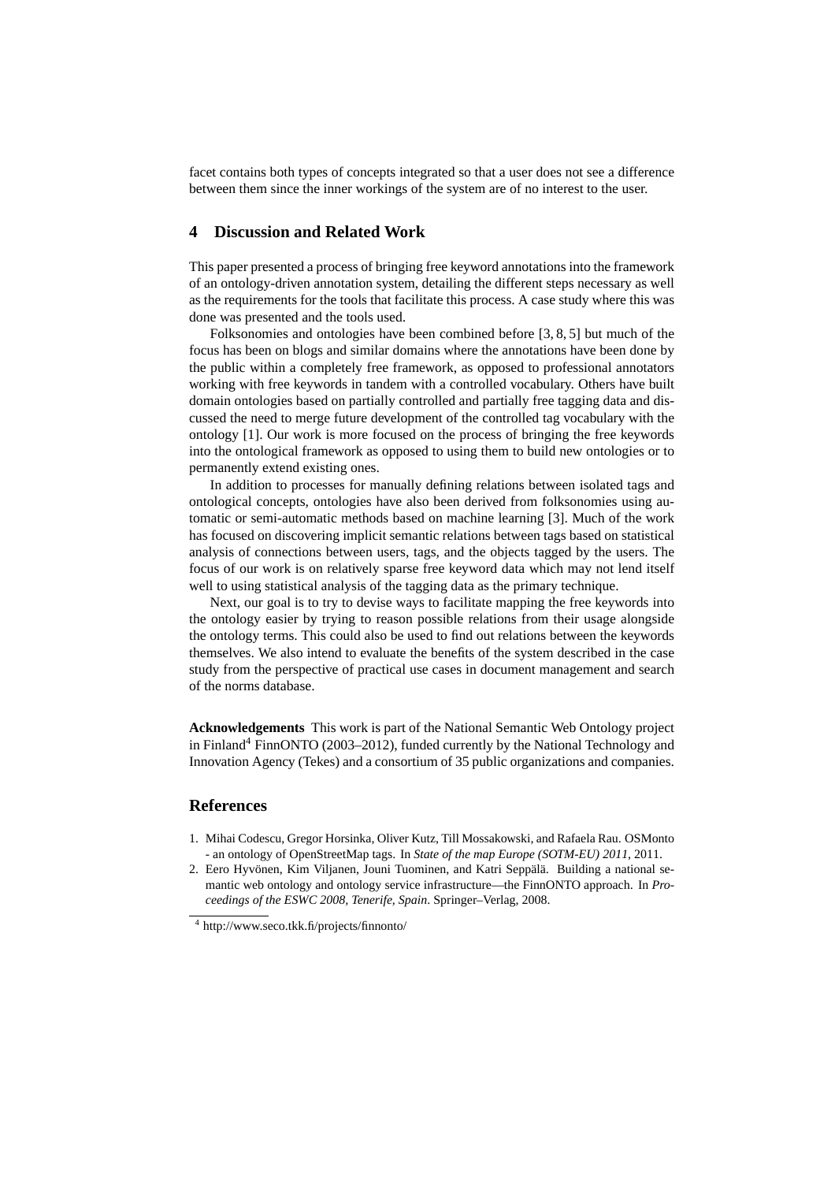facet contains both types of concepts integrated so that a user does not see a difference between them since the inner workings of the system are of no interest to the user.

### **4 Discussion and Related Work**

This paper presented a process of bringing free keyword annotations into the framework of an ontology-driven annotation system, detailing the different steps necessary as well as the requirements for the tools that facilitate this process. A case study where this was done was presented and the tools used.

Folksonomies and ontologies have been combined before [3, 8, 5] but much of the focus has been on blogs and similar domains where the annotations have been done by the public within a completely free framework, as opposed to professional annotators working with free keywords in tandem with a controlled vocabulary. Others have built domain ontologies based on partially controlled and partially free tagging data and discussed the need to merge future development of the controlled tag vocabulary with the ontology [1]. Our work is more focused on the process of bringing the free keywords into the ontological framework as opposed to using them to build new ontologies or to permanently extend existing ones.

In addition to processes for manually defining relations between isolated tags and ontological concepts, ontologies have also been derived from folksonomies using automatic or semi-automatic methods based on machine learning [3]. Much of the work has focused on discovering implicit semantic relations between tags based on statistical analysis of connections between users, tags, and the objects tagged by the users. The focus of our work is on relatively sparse free keyword data which may not lend itself well to using statistical analysis of the tagging data as the primary technique.

Next, our goal is to try to devise ways to facilitate mapping the free keywords into the ontology easier by trying to reason possible relations from their usage alongside the ontology terms. This could also be used to find out relations between the keywords themselves. We also intend to evaluate the benefits of the system described in the case study from the perspective of practical use cases in document management and search of the norms database.

**Acknowledgements** This work is part of the National Semantic Web Ontology project in Finland<sup>4</sup> FinnONTO (2003–2012), funded currently by the National Technology and Innovation Agency (Tekes) and a consortium of 35 public organizations and companies.

## **References**

- 1. Mihai Codescu, Gregor Horsinka, Oliver Kutz, Till Mossakowski, and Rafaela Rau. OSMonto - an ontology of OpenStreetMap tags. In *State of the map Europe (SOTM-EU) 2011*, 2011.
- 2. Eero Hyvönen, Kim Viljanen, Jouni Tuominen, and Katri Seppälä. Building a national semantic web ontology and ontology service infrastructure—the FinnONTO approach. In *Proceedings of the ESWC 2008, Tenerife, Spain*. Springer–Verlag, 2008.

<sup>4</sup> http://www.seco.tkk.fi/projects/finnonto/